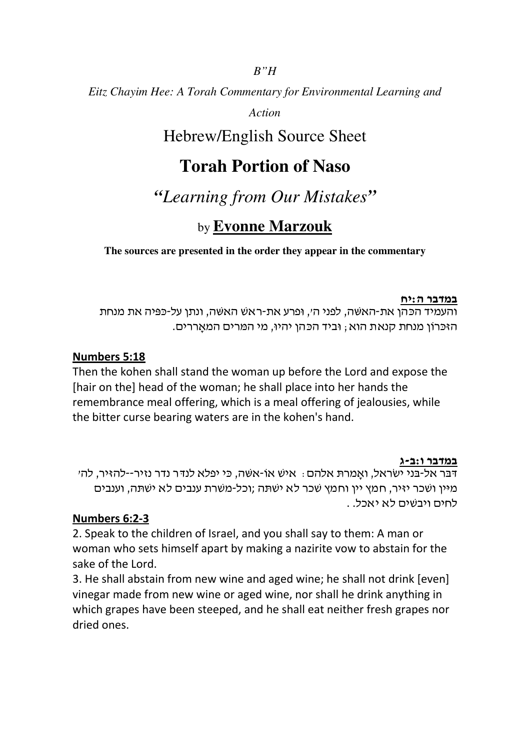## *B"H*

*Eitz Chayim Hee: A Torah Commentary for Environmental Learning and* 

*Action*

# Hebrew/English Source Sheet

# **Torah Portion of Naso**

*"Learning from Our Mistakes"* 

# by **Evonne Marzouk**

## **The sources are presented in the order they appear in the commentary**

#### במדבר ה:יח

והעמיד הכּהן את-האשׁה, לפני ה׳, וּפרע את-ראשׁ האשׁה, ונתן על-כּפּיה את מנחת הזכּרוֹן מנחת קנאת הוא ; וּביד הכּהן יהיוּ, מי המּרים המאַררים.

## Numbers 5:18

Then the kohen shall stand the woman up before the Lord and expose the [hair on the] head of the woman; he shall place into her hands the remembrance meal offering, which is a meal offering of jealousies, while the bitter curse bearing waters are in the kohen's hand.

#### במדבר ו:ב-ג

דבר אל-בני ישראל, ואמרת אלהם : איש אוֹ-אשׁה, כּי יפלא לנדּר נדר נזיר--להזיר, לה׳ מיין ושכר יזיר, חמץ יין וחמץ שכר לא ישתה ;וכל-משרת ענבים לא ישתה, וענבים לחים ויבשים לא יאכל. .

### Numbers 6:2-3

2. Speak to the children of Israel, and you shall say to them: A man or woman who sets himself apart by making a nazirite vow to abstain for the sake of the Lord.

3. He shall abstain from new wine and aged wine; he shall not drink [even] vinegar made from new wine or aged wine, nor shall he drink anything in which grapes have been steeped, and he shall eat neither fresh grapes nor dried ones.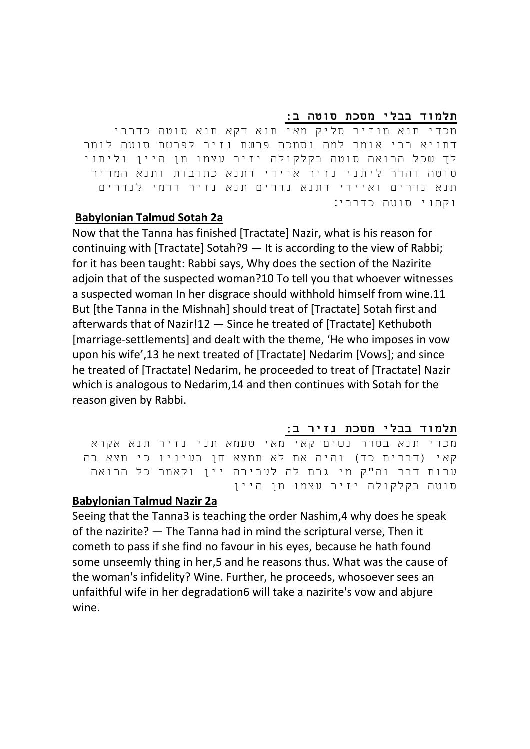#### תלמוד בבלי מסכת סוטה ב:

מכדי תנא מנזיר סליק מאי תנא דקא תנא סוטה כדרבי דתניא רבי אומר למה נסמכה פרשת נזיר לפרשת סוטה לומר לך שכל הרואה סוטה בקלקולה יזיר עצמו מן היין וליתני סוטה והדר ליתני נזיר איידי דתנא כתובות ותנא המדיר תנא נדרים ואיידי דתנא נדרים תנא נזיר דדמי לנדרים וקתני סוטה כדרבי :

### Babylonian Talmud Sotah 2a

Now that the Tanna has finished [Tractate] Nazir, what is his reason for continuing with [Tractate] Sotah?9 — It is according to the view of Rabbi; for it has been taught: Rabbi says, Why does the section of the Nazirite adjoin that of the suspected woman?10 To tell you that whoever witnesses a suspected woman In her disgrace should withhold himself from wine.11 But [the Tanna in the Mishnah] should treat of [Tractate] Sotah first and afterwards that of Nazir!12 — Since he treated of [Tractate] Kethuboth [marriage-settlements] and dealt with the theme, 'He who imposes in vow upon his wife',13 he next treated of [Tractate] Nedarim [Vows]; and since he treated of [Tractate] Nedarim, he proceeded to treat of [Tractate] Nazir which is analogous to Nedarim,14 and then continues with Sotah for the reason given by Rabbi.

#### תלמוד בבלי מסכת נזיר ב:

מכדי תנא בסדר נשים קאי מאי טעמא תני נזיר תנא אקרא קאי (דברים כד) והיה אם לא תמצא חן בעיניו כי מצא בה ערות דבר וה"ק מי גרם לה לעבירה יין וקאמר כל הרואה סוטה בקלקולה יזיר עצמו מן היין

### Babylonian Talmud Nazir 2a

Seeing that the Tanna3 is teaching the order Nashim,4 why does he speak of the nazirite? — The Tanna had in mind the scriptural verse, Then it cometh to pass if she find no favour in his eyes, because he hath found some unseemly thing in her,5 and he reasons thus. What was the cause of the woman's infidelity? Wine. Further, he proceeds, whosoever sees an unfaithful wife in her degradation6 will take a nazirite's vow and abjure wine.